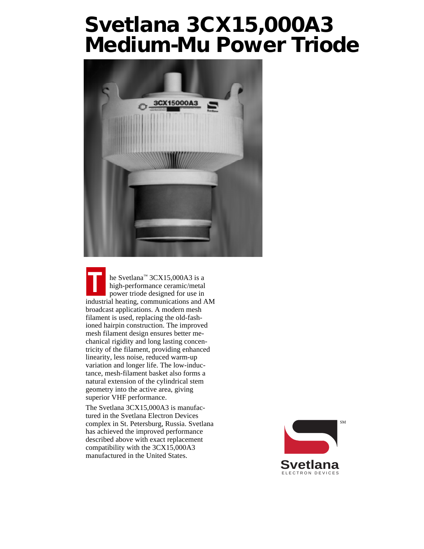# **Svetlana 3CX15,000A3 Medium-Mu Power Triode**



he Svetlana™ 3CX15,000A3 is a high-performance ceramic/metal power triode designed for use in industrial heating, communications and AM broadcast applications. A modern mesh filament is used, replacing the old-fashioned hairpin construction. The improved mesh filament design ensures better mechanical rigidity and long lasting concentricity of the filament, providing enhanced linearity, less noise, reduced warm-up variation and longer life. The low-inductance, mesh-filament basket also forms a natural extension of the cylindrical stem geometry into the active area, giving superior VHF performance. **T**

The Svetlana 3CX15,000A3 is manufactured in the Svetlana Electron Devices complex in St. Petersburg, Russia. Svetlana has achieved the improved performance described above with exact replacement compatibility with the 3CX15,000A3 manufactured in the United States.

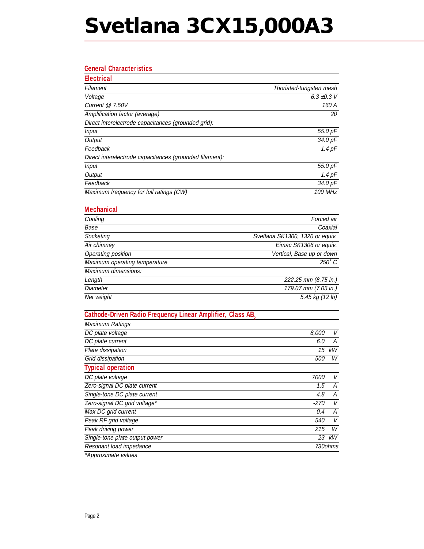# **Svetlana 3CX15,000A3**

### **General Characteristics**

| <b>Electrical</b>                                       |                         |
|---------------------------------------------------------|-------------------------|
| Filament                                                | Thoriated-tungsten mesh |
| Voltage                                                 | 6.3 $\pm$ 0.3 V         |
| Current $@$ 7.50V                                       | 160 A                   |
| Amplification factor (average)                          | 20                      |
| Direct interelectrode capacitances (grounded grid):     |                         |
| Input                                                   | 55.0 pF                 |
| Output                                                  | 34.0 pF                 |
| Feedback                                                | $1.4$ pF                |
| Direct interelectrode capacitances (grounded filament): |                         |
| Input                                                   | 55.0 pF                 |
| Output                                                  | $1.4$ pF                |
| Feedback                                                | 34.0 pF                 |
| Maximum frequency for full ratings (CW)                 | 100 MHz                 |

| <b>Mechanical</b>             |                                 |
|-------------------------------|---------------------------------|
| Cooling                       | Forced air                      |
| Base                          | Coaxial                         |
| Socketing                     | Svetlana SK1300, 1320 or equiv. |
| Air chimney                   | Eimac SK1306 or equiv.          |
| Operating position            | Vertical, Base up or down       |
| Maximum operating temperature | $250^\circ C$                   |
| Maximum dimensions:           |                                 |
| Length                        | 222.25 mm (8.75 in.)            |
| Diameter                      | 179.07 mm (7.05 in.)            |
| Net weight                    | 5.45 kg (12 lb)                 |

## **Cathode-Driven Radio Frequency Linear Amplifier, Class AB2**

| Maximum Ratings                      |            |         |
|--------------------------------------|------------|---------|
| DC plate voltage                     | 8.000      | V       |
| DC plate current                     | 6.0        | А       |
| Plate dissipation                    | 15         | kW      |
| Grid dissipation                     | <i>500</i> | W       |
| <b>Typical operation</b>             |            |         |
| DC plate voltage                     | 7000       | V       |
| Zero-signal DC plate current         | 1.5        | А       |
| Single-tone DC plate current         | 4.8        | А       |
| Zero-signal DC grid voltage*         | -270       | V       |
| Max DC grid current                  | 0.4        | А       |
| Peak RF grid voltage                 | <i>540</i> | V       |
| Peak driving power                   | 215        | W       |
| Single-tone plate output power       | 23         | kW      |
| Resonant load impedance              |            | 730ohms |
| $*$ A a a a a colorador a contra a a |            |         |

\*Approximate values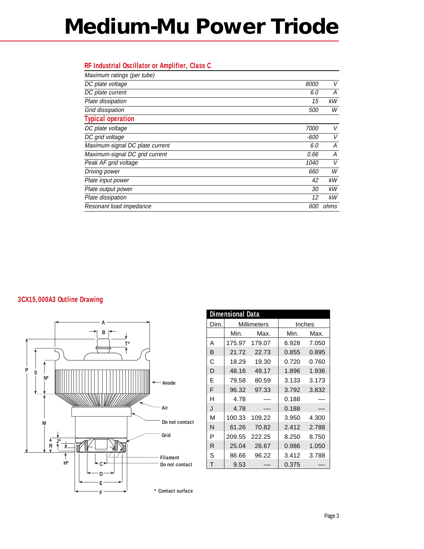# **Medium-Mu Power Triode**

### **RF Industrial Oscillator or Amplifier, Class C**

| Maximum ratings (per tube)      |             |        |
|---------------------------------|-------------|--------|
| DC plate voltage                | <i>8000</i> | $\vee$ |
| DC plate current                | 6.0         | А      |
| Plate dissipation               | 15          | kW     |
| Grid dissipation                | <i>500</i>  | W      |
| <b>Typical operation</b>        |             |        |
| DC plate voltage                | 7000        | V      |
| DC grid voltage                 | -600        | V      |
| Maximum-signal DC plate current | 6.0         | А      |
| Maximum-signal DC grid current  | 0.66        | А      |
| Peak AF grid voltage            | 1040        | $\vee$ |
| Driving power                   | 660         | W      |
| Plate input power               | 42          | kW     |
| Plate output power              | 30          | kW     |
| Plate dissipation               | 12          | kW     |
| Resonant load impedance         | 600         | ohms   |

### **3CX15,000A3 Outline Drawing**



| <b>Dimensional Data</b> |             |        |        |       |
|-------------------------|-------------|--------|--------|-------|
| Dim.                    | Millimeters |        | Inches |       |
|                         | Min.        | Max.   | Min.   | Max.  |
| А                       | 175.97      | 179.07 | 6.928  | 7.050 |
| B                       | 21.72       | 22.73  | 0.855  | 0.895 |
| C                       | 18.29       | 19.30  | 0.720  | 0.760 |
| D                       | 48.16       | 49.17  | 1.896  | 1.936 |
| F                       | 79.58       | 80.59  | 3.133  | 3.173 |
| F                       | 96.32       | 97.33  | 3.792  | 3.832 |
| н                       | 4.78        |        | 0.188  |       |
| J                       | 4.78        |        | 0.188  |       |
| М                       | 100.33      | 109.22 | 3.950  | 4.300 |
| N                       | 61.26       | 70.82  | 2.412  | 2.788 |
| P                       | 209.55      | 222.25 | 8.250  | 8.750 |
| R                       | 25.04       | 26.67  | 0.986  | 1.050 |
| S                       | 86.66       | 96.22  | 3.412  | 3.788 |
| т                       | 9.53        |        | 0.375  |       |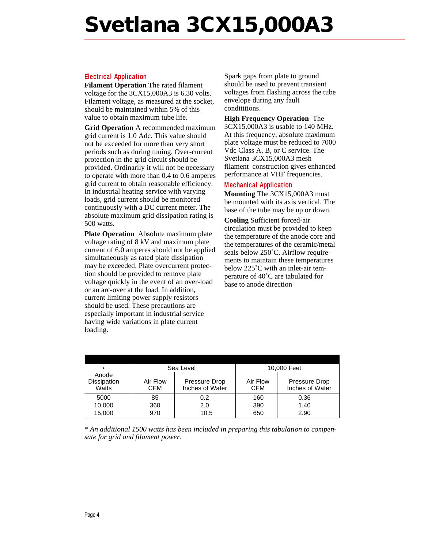# **Svetlana 3CX15,000A3**

#### **Electrical Application**

**Filament Operation** The rated filament voltage for the 3CX15,000A3 is 6.30 volts. Filament voltage, as measured at the socket, should be maintained within 5% of this value to obtain maximum tube life.

**Grid Operation** A recommended maximum grid current is 1.0 Adc. This value should not be exceeded for more than very short periods such as during tuning. Over-current protection in the grid circuit should be provided. Ordinarily it will not be necessary to operate with more than 0.4 to 0.6 amperes grid current to obtain reasonable efficiency. In industrial heating service with varying loads, grid current should be monitored continuously with a DC current meter. The absolute maximum grid dissipation rating is 500 watts.

**Plate Operation** Absolute maximum plate voltage rating of 8 kV and maximum plate current of 6.0 amperes should not be applied simultaneously as rated plate dissipation may be exceeded. Plate overcurrent protection should be provided to remove plate voltage quickly in the event of an over-load or an arc-over at the load. In addition, current limiting power supply resistors should be used. These precautions are especially important in industrial service having wide variations in plate current loading.

Spark gaps from plate to ground should be used to prevent transient voltages from flashing across the tube envelope during any fault condititions.

#### **High Frequency Operation** The

3CX15,000A3 is usable to 140 MHz. At this frequency, absolute maximum plate voltage must be reduced to 7000 Vdc Class A, B, or C service. The Svetlana 3CX15,000A3 mesh filament construction gives enhanced performance at VHF frequencies.

#### **Mechanical Application**

**Mounting** The 3CX15,000A3 must be mounted with its axis vertical. The base of the tube may be up or down.

**Cooling** Sufficient forced-air circulation must be provided to keep the temperature of the anode core and the temperatures of the ceramic/metal seals below 250˚C. Airflow requirements to maintain these temperatures below 225˚C with an inlet-air temperature of 40˚C are tabulated for base to anode direction

| $\star$                       | Sea Level              |                                  | 10,000 Feet            |                                  |
|-------------------------------|------------------------|----------------------------------|------------------------|----------------------------------|
| Anode<br>Dissipation<br>Watts | Air Flow<br><b>CFM</b> | Pressure Drop<br>Inches of Water | Air Flow<br><b>CFM</b> | Pressure Drop<br>Inches of Water |
| 5000<br>10,000<br>15,000      | 85<br>360<br>970       | 0.2<br>2.0<br>10.5               | 160<br>390<br>650      | 0.36<br>1.40<br>2.90             |

\* *An additional 1500 watts has been included in preparing this tabulation to compensate for grid and filament power.*